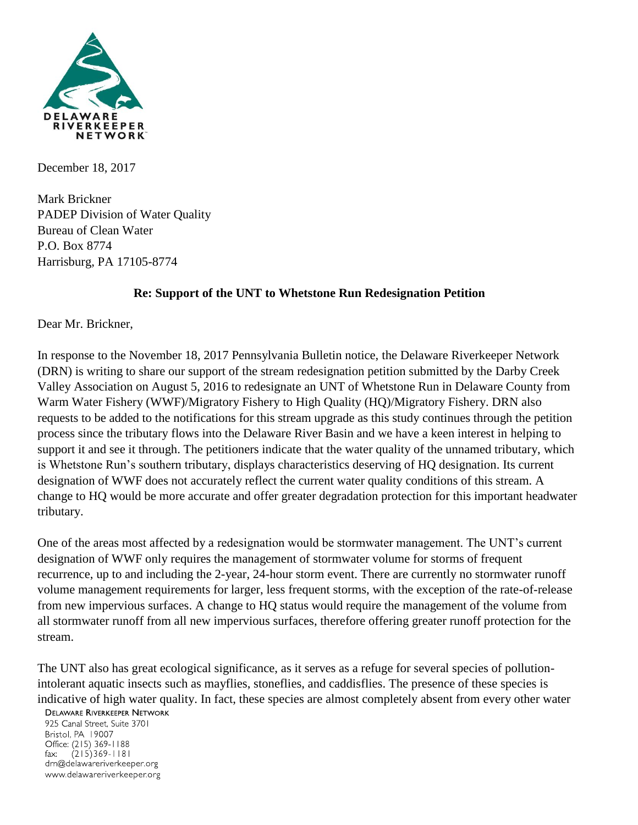

December 18, 2017

Mark Brickner PADEP Division of Water Quality Bureau of Clean Water P.O. Box 8774 Harrisburg, PA 17105-8774

## **Re: Support of the UNT to Whetstone Run Redesignation Petition**

Dear Mr. Brickner,

In response to the November 18, 2017 Pennsylvania Bulletin notice, the Delaware Riverkeeper Network (DRN) is writing to share our support of the stream redesignation petition submitted by the Darby Creek Valley Association on August 5, 2016 to redesignate an UNT of Whetstone Run in Delaware County from Warm Water Fishery (WWF)/Migratory Fishery to High Quality (HQ)/Migratory Fishery. DRN also requests to be added to the notifications for this stream upgrade as this study continues through the petition process since the tributary flows into the Delaware River Basin and we have a keen interest in helping to support it and see it through. The petitioners indicate that the water quality of the unnamed tributary, which is Whetstone Run's southern tributary, displays characteristics deserving of HQ designation. Its current designation of WWF does not accurately reflect the current water quality conditions of this stream. A change to HQ would be more accurate and offer greater degradation protection for this important headwater tributary.

One of the areas most affected by a redesignation would be stormwater management. The UNT's current designation of WWF only requires the management of stormwater volume for storms of frequent recurrence, up to and including the 2-year, 24-hour storm event. There are currently no stormwater runoff volume management requirements for larger, less frequent storms, with the exception of the rate-of-release from new impervious surfaces. A change to HQ status would require the management of the volume from all stormwater runoff from all new impervious surfaces, therefore offering greater runoff protection for the stream.

The UNT also has great ecological significance, as it serves as a refuge for several species of pollutionintolerant aquatic insects such as mayflies, stoneflies, and caddisflies. The presence of these species is indicative of high water quality. In fact, these species are almost completely absent from every other water

## **DELAWARE RIVERKEEPER NETWORK**

925 Canal Street, Suite 3701 Bristol, PA 19007 Office: (215) 369-1188  $(215)369 - 1181$  $\mathsf{fax:}$ drn@delawareriverkeeper.org www.delawareriverkeeper.org